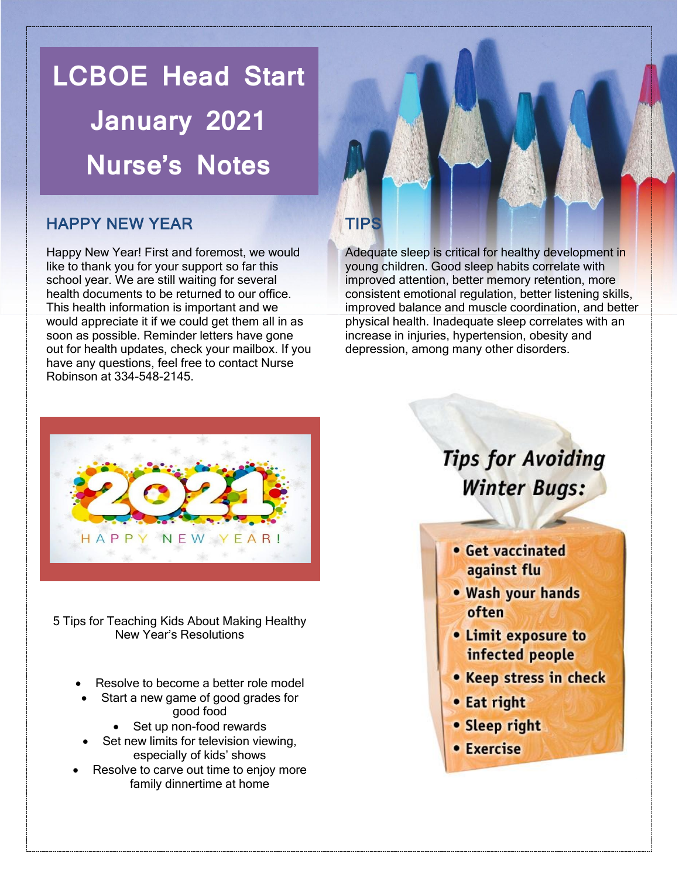**LCBOE Head Start January 2021 Nurse's Notes**

### HAPPY NEW YEAR

Happy New Year! First and foremost, we would like to thank you for your support so far this school year. We are still waiting for several health documents to be returned to our office. This health information is important and we would appreciate it if we could get them all in as soon as possible. Reminder letters have gone out for health updates, check your mailbox. If you have any questions, feel free to contact Nurse Robinson at 334-548-2145.

### TIPS

Adequate sleep is critical for healthy development in young children. Good sleep habits correlate with improved attention, better memory retention, more consistent emotional regulation, better listening skills, improved balance and muscle coordination, and better physical health. Inadequate sleep correlates with an increase in injuries, hypertension, obesity and depression, among many other disorders.



5 Tips for Teaching Kids About Making Healthy New Year's Resolutions

- Resolve to become a better role model
- Start a new game of good grades for good food
	- Set up non-food rewards
- Set new limits for television viewing, especially of kids' shows
- Resolve to carve out time to enjoy more family dinnertime at home

## **Tips for Avoiding Winter Bugs:**

- Get vaccinated against flu
- . Wash your hands often
- Limit exposure to infected people
- Keep stress in check
- Eat right
- Sleep right
- Exercise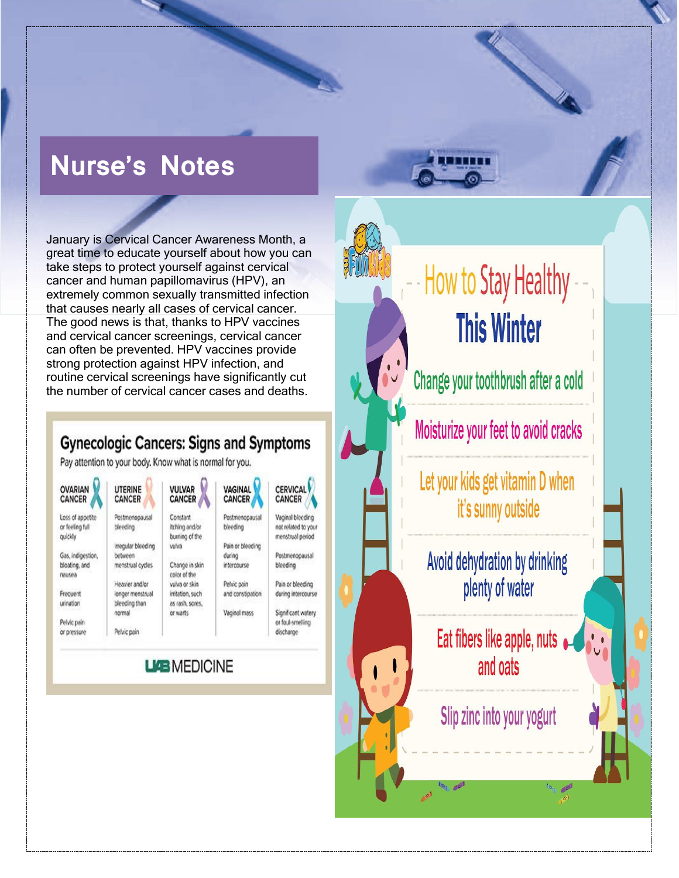# **Nurse's Notes**

January is Cervical Cancer Awareness Month, a great time to educate yourself about how you can take steps to protect yourself against cervical cancer and human papillomavirus (HPV), an extremely common sexually transmitted infection that causes nearly all cases of cervical cancer. The good news is that, thanks to HPV vaccines and cervical cancer screenings, cervical cancer can often be prevented. HPV vaccines provide strong protection against HPV infection, and routine cervical screenings have significantly cut the number of cervical cancer cases and deaths.

### **Gynecologic Cancers: Signs and Symptoms**

Pay attention to your body. Know what is normal for you.

| <b>OVARIAN</b><br>CANCER                       | <b>UTERINE</b><br>CANCER          | <b>VULVAR</b><br>CANCER                      | VAGINAL<br>CANCER          | <b>CERVICAL</b><br>CANCER                                   |
|------------------------------------------------|-----------------------------------|----------------------------------------------|----------------------------|-------------------------------------------------------------|
| Loss of appetite<br>or feeling full<br>quickly | Postmenopausal<br>bleeding        | Constant<br>itching and/or<br>burning of the | Postmenopausal<br>bleeding | Vaginal bloeding<br>not related to your<br>menstrual period |
|                                                | Irregular bleeding                | vulvä                                        | Pain or bleeding           |                                                             |
| Gas, indigestion,                              | between                           |                                              | during                     | Postmenopausal                                              |
| bloating, and<br>nausea                        | menstrual cycles                  | Change in skin<br>color of the               | intercourse                | bleeding                                                    |
|                                                | Heavier and/or                    | vulva or skin                                | Pelvic pain                | Pain or bleeding                                            |
| Frecuent<br>unnation                           | longer menstrual<br>bleeding than | irritation, such<br>as rash, sores,          | and constipation           | during intercourse                                          |
|                                                | normal                            | or warts                                     | Vaginal mass               | Significant watery                                          |
| Pelvic pain                                    |                                   |                                              |                            | or foul-smelling                                            |
| or pressure                                    | Pelvic pain                       |                                              |                            | discharge                                                   |

### **LIGE MEDICINE**